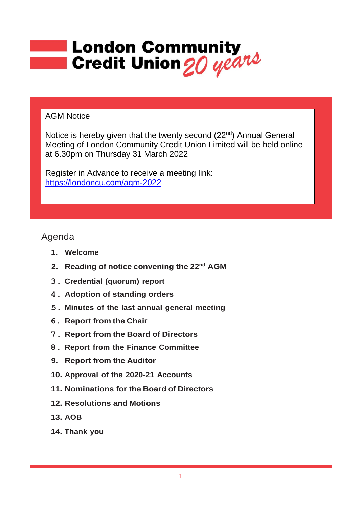# **Example 18 London Community<br>Credit Union 20 years**

# AGM Notice

Notice is hereby given that the twenty second (22<sup>nd</sup>) Annual General Meeting of London Community Credit Union Limited will be held online at 6.30pm on Thursday 31 March 2022

Register in Advance to receive a meeting link: <https://londoncu.com/agm-2022>

# Agenda

- **1. Welcome**
- **2. Reading of notice convening the 22nd AGM**
- **3. Credential (quorum) report**
- **4. Adoption of standing orders**
- **5. Minutes of the last annual general meeting**
- **6. Report from the Chair**
- **7. Report from the Board of Directors**
- **8. Report from the Finance Committee**
- **9. Report from the Auditor**
- **10. Approval of the 2020-21 Accounts**
- **11. Nominations for the Board of Directors**
- **12. Resolutions and Motions**
- **13. AOB**
- **14. Thank you**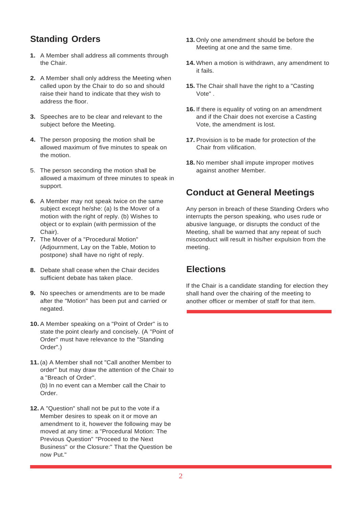# **Standing Orders**

- **1.** A Member shall address all comments through the Chair.
- **2.** A Member shall only address the Meeting when called upon by the Chair to do so and should raise their hand to indicate that they wish to address the floor.
- **3.** Speeches are to be clear and relevant to the subject before the Meeting.
- **4.** The person proposing the motion shall be allowed maximum of five minutes to speak on the motion.
- 5. The person seconding the motion shall be allowed a maximum of three minutes to speak in support.
- **6.** A Member may not speak twice on the same subject except he/she: (a) Is the Mover of a motion with the right of reply. (b) Wishes to object or to explain (with permission of the Chair).
- **7.** The Mover of a "Procedural Motion" (Adjournment, Lay on the Table, Motion to postpone) shall have no right of reply.
- **8.** Debate shall cease when the Chair decides sufficient debate has taken place.
- **9.** No speeches or amendments are to be made after the "Motion" has been put and carried or negated.
- **10.** A Member speaking on a "Point of Order" is to state the point clearly and concisely. (A "Point of Order" must have relevance to the "Standing Order".)
- **11.** (a) A Member shall not "Call another Member to order" but may draw the attention of the Chair to a "Breach of Order". (b) In no event can a Member call the Chair to Order.
- **12.** A "Question" shall not be put to the vote if a Member desires to speak on it or move an amendment to it, however the following may be moved at any time: a "Procedural Motion: The Previous Question" "Proceed to the Next Business" or the Closure:" That the Question be now Put."
- **13.** Only one amendment should be before the Meeting at one and the same time.
- **14.** When a motion is withdrawn, any amendment to it fails.
- **15.** The Chair shall have the right to a "Casting Vote" .
- **16.** If there is equality of voting on an amendment and if the Chair does not exercise a Casting Vote, the amendment is lost.
- **17.** Provision is to be made for protection of the Chair from vilification.
- **18.** No member shall impute improper motives against another Member.

# **Conduct at General Meetings**

Any person in breach of these Standing Orders who interrupts the person speaking, who uses rude or abusive language, or disrupts the conduct of the Meeting, shall be warned that any repeat of such misconduct will result in his/her expulsion from the meeting.

# **Elections**

If the Chair is a candidate standing for election they shall hand over the chairing of the meeting to another officer or member of staff for that item.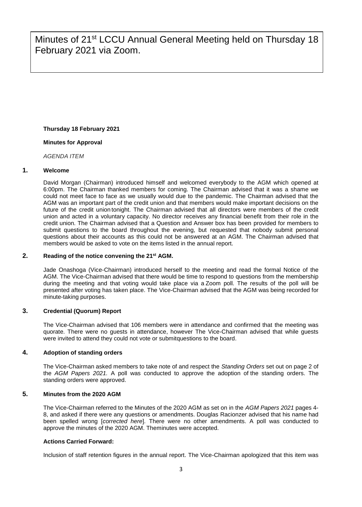Minutes of 21st LCCU Annual General Meeting held on Thursday 18 February 2021 via Zoom.

# **Thursday 18 February 2021**

# **Minutes for Approval**

*AGENDA ITEM*

# **1. Welcome**

David Morgan (Chairman) introduced himself and welcomed everybody to the AGM which opened at 6:00pm. The Chairman thanked members for coming. The Chairman advised that it was a shame we could not meet face to face as we usually would due to the pandemic. The Chairman advised that the AGM was an important part of the credit union and that members would make important decisions on the future of the credit union tonight. The Chairman advised that all directors were members of the credit union and acted in a voluntary capacity. No director receives any financial benefit from their role in the credit union. The Chairman advised that a Question and Answer box has been provided for members to submit questions to the board throughout the evening, but requested that nobody submit personal questions about their accounts as this could not be answered at an AGM. The Chairman advised that members would be asked to vote on the items listed in the annual report.

# **2. Reading of the notice convening the 21st AGM.**

Jade Onashoga (Vice-Chairman) introduced herself to the meeting and read the formal Notice of the AGM. The Vice-Chairman advised that there would be time to respond to questions from the membership during the meeting and that voting would take place via a Zoom poll. The results of the poll will be presented after voting has taken place. The Vice-Chairman advised that the AGM was being recorded for minute-taking purposes.

# **3. Credential (Quorum) Report**

The Vice-Chairman advised that 106 members were in attendance and confirmed that the meeting was quorate. There were no guests in attendance, however The Vice-Chairman advised that while guests were invited to attend they could not vote or submitquestions to the board.

# **4. Adoption of standing orders**

The Vice-Chairman asked members to take note of and respect the *Standing Orders* set out on page 2 of the *AGM Papers 2021.* A poll was conducted to approve the adoption of the standing orders. The standing orders were approved.

# **5. Minutes from the 2020 AGM**

The Vice-Chairman referred to the Minutes of the 2020 AGM as set on in the *AGM Papers 2021* pages 4- 8, and asked if there were any questions or amendments. Douglas Racionzer advised that his name had been spelled wrong [*corrected here*]. There were no other amendments. A poll was conducted to approve the minutes of the 2020 AGM. Theminutes were accepted.

# **Actions Carried Forward:**

Inclusion of staff retention figures in the annual report. The Vice-Chairman apologized that this item was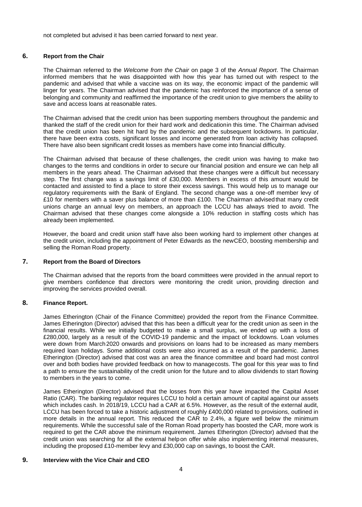not completed but advised it has been carried forward to next year.

#### **6. Report from the Chair**

The Chairman referred to the *Welcome from the Chair* on page 3 of the *Annual Report*. The Chairman informed members that he was disappointed with how this year has turned out with respect to the pandemic and advised that while a vaccine was on its way, the economic impact of the pandemic will linger for years. The Chairman advised that the pandemic has reinforced the importance of a sense of belonging and community and reaffirmed the importance of the credit union to give members the ability to save and access loans at reasonable rates.

The Chairman advised that the credit union has been supporting members throughout the pandemic and thanked the staff of the credit union for their hard work and dedicationin this time. The Chairman advised that the credit union has been hit hard by the pandemic and the subsequent lockdowns. In particular, there have been extra costs, significant losses and income generated from loan activity has collapsed. There have also been significant credit losses as members have come into financial difficulty.

The Chairman advised that because of these challenges, the credit union was having to make two changes to the terms and conditions in order to secure our financial position and ensure we can help all members in the years ahead. The Chairman advised that these changes were a difficult but necessary step. The first change was a savings limit of £30,000. Members in excess of this amount would be contacted and assisted to find a place to store their excess savings. This would help us to manage our regulatory requirements with the Bank of England. The second change was a one-off member levy of £10 for members with a saver plus balance of more than £100. The Chairman advisedthat many credit unions charge an annual levy on members, an approach the LCCU has always tried to avoid. The Chairman advised that these changes come alongside a 10% reduction in staffing costs which has already been implemented.

However, the board and credit union staff have also been working hard to implement other changes at the credit union, including the appointment of Peter Edwards as the newCEO, boosting membership and selling the Roman Road property.

#### **7. Report from the Board of Directors**

The Chairman advised that the reports from the board committees were provided in the annual report to give members confidence that directors were monitoring the credit union, providing direction and improving the services provided overall.

# **8. Finance Report.**

James Etherington (Chair of the Finance Committee) provided the report from the Finance Committee. James Etherington (Director) advised that this has been a difficult year for the credit union as seen in the financial results. While we initially budgeted to make a small surplus, we ended up with a loss of £280,000, largely as a result of the COVID-19 pandemic and the impact of lockdowns. Loan volumes were down from March2020 onwards and provisions on loans had to be increased as many members required loan holidays. Some additional costs were also incurred as a result of the pandemic. James Etherington (Director) advised that cost was an area the finance committee and board had most control over and both bodies have provided feedback on how to managecosts. The goal for this year was to find a path to ensure the sustainability of the credit union for the future and to allow dividends to start flowing to members in the years to come.

James Etherington (Director) advised that the losses from this year have impacted the Capital Asset Ratio (CAR). The banking regulator requires LCCU to hold a certain amount of capital against our assets which includes cash. In 2018/19, LCCU had a CAR at 6.5%. However, as the result of the external audit, LCCU has been forced to take a historic adjustment of roughly £400,000 related to provisions, outlined in more details in the annual report. This reduced the CAR to 2.4%, a figure well below the minimum requirements. While the successful sale of the Roman Road property has boosted the CAR, more work is required to get the CAR above the minimum requirement. James Etherington (Director) advised that the credit union was searching for all the external helpon offer while also implementing internal measures, including the proposed £10-member levy and £30,000 cap on savings, to boost the CAR.

#### **9. Interview with the Vice Chair and CEO**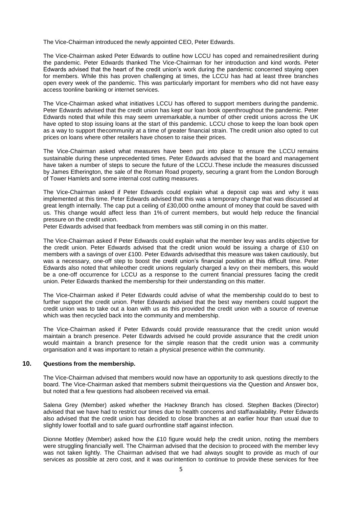The Vice-Chairman introduced the newly appointed CEO, Peter Edwards.

The Vice-Chairman asked Peter Edwards to outline how LCCU has coped and remainedresilient during the pandemic. Peter Edwards thanked The Vice-Chairman for her introduction and kind words. Peter Edwards advised that the heart of the credit union's work during the pandemic concerned staying open for members. While this has proven challenging at times, the LCCU has had at least three branches open every week of the pandemic. This was particularly important for members who did not have easy access toonline banking or internet services.

The Vice-Chairman asked what initiatives LCCU has offered to support members during the pandemic. Peter Edwards advised that the credit union has kept our loan book openthroughout the pandemic. Peter Edwards noted that while this may seem unremarkable, a number of other credit unions across the UK have opted to stop issuing loans at the start of this pandemic. LCCU chose to keep the loan book open as a way to support thecommunity at a time of greater financial strain. The credit union also opted to cut prices on loans where other retailers have chosen to raise their prices.

The Vice-Chairman asked what measures have been put into place to ensure the LCCU remains sustainable during these unprecedented times. Peter Edwards advised that the board and management have taken a number of steps to secure the future of the LCCU.These include the measures discussed by James Etherington, the sale of the Roman Road property, securing a grant from the London Borough of Tower Hamlets and some internal cost cutting measures.

The Vice-Chairman asked if Peter Edwards could explain what a deposit cap was and why it was implemented at this time. Peter Edwards advised that this was a temporary change that was discussed at great length internally. The cap put a ceiling of £30,000 onthe amount of money that could be saved with us. This change would affect less than 1% of current members, but would help reduce the financial pressure on the credit union.

Peter Edwards advised that feedback from members was still coming in on this matter.

The Vice-Chairman asked if Peter Edwards could explain what the member levy was andits objective for the credit union. Peter Edwards advised that the credit union would be issuing a charge of £10 on members with a savings of over £100. Peter Edwards advisedthat this measure was taken cautiously, but was a necessary, one-off step to boost the credit union's financial position at this difficult time. Peter Edwards also noted that whileother credit unions regularly charged a levy on their members, this would be a one-off occurrence for LCCU as a response to the current financial pressures facing the credit union. Peter Edwards thanked the membership for their understanding on this matter.

The Vice-Chairman asked if Peter Edwards could advise of what the membership could do to best to further support the credit union. Peter Edwards advised that the best way members could support the credit union was to take out a loan with us as this provided the credit union with a source of revenue which was then recycled back into the community and membership.

The Vice-Chairman asked if Peter Edwards could provide reassurance that the credit union would maintain a branch presence. Peter Edwards advised he could provide assurance that the credit union would maintain a branch presence for the simple reason that the credit union was a community organisation and it was important to retain a physical presence within the community.

#### **10. Questions from the membership.**

The Vice-Chairman advised that members would now have an opportunity to ask questions directly to the board. The Vice-Chairman asked that members submit theirquestions via the Question and Answer box, but noted that a few questions had alsobeen received via email.

Salena Grey (Member) asked whether the Hackney Branch has closed. Stephen Backes (Director) advised that we have had to restrict our times due to health concerns and staffavailability. Peter Edwards also advised that the credit union has decided to close branches at an earlier hour than usual due to slightly lower footfall and to safe guard ourfrontline staff against infection.

Dionne Mottley (Member) asked how the £10 figure would help the credit union, noting the members were struggling financially well. The Chairman advised that the decision to proceed with the member levy was not taken lightly. The Chairman advised that we had always sought to provide as much of our services as possible at zero cost, and it was ourintention to continue to provide these services for free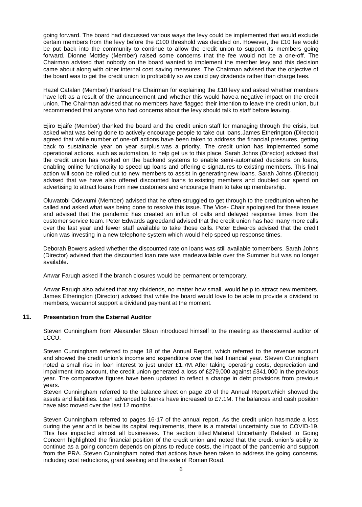going forward. The board had discussed various ways the levy could be implemented that would exclude certain members from the levy before the £100 threshold was decided on. However, the £10 fee would be put back into the community to continue to allow the credit union to support its members going forward. Dionne Mottley (Member) raised some concerns that the fee would not be a one-off. The Chairman advised that nobody on the board wanted to implement the member levy and this decision came about along with other internal cost saving measures. The Chairman advised that the objective of the board was to get the credit union to profitability so we could pay dividends rather than charge fees.

Hazel Catalan (Member) thanked the Chairman for explaining the £10 levy and asked whether members have left as a result of the announcement and whether this would havea negative impact on the credit union. The Chairman advised that no members have flagged their intention to leave the credit union, but recommended that anyone who had concerns about the levy should talk to staff before leaving.

Ejiro Ejaife (Member) thanked the board and the credit union staff for managing through the crisis, but asked what was being done to actively encourage people to take out loans.James Etherington (Director) agreed that while number of one-off actions have been taken to address the financial pressures, getting back to sustainable year on year surplus was a priority. The credit union has implemented some operational actions, such as automation, to help get us to this place. Sarah Johns (Director) advised that the credit union has worked on the backend systems to enable semi-automated decisions on loans, enabling online functionality to speed up loans and offering e-signatures to existing members. This final action will soon be rolled out to new members to assist in generatingnew loans. Sarah Johns (Director) advised that we have also offered discounted loans to existing members and doubled our spend on advertising to attract loans from new customers and encourage them to take up membership.

Oluwatobi Odewumi (Member) advised that he often struggled to get through to the creditunion when he called and asked what was being done to resolve this issue. The Vice- Chair apologised for these issues and advised that the pandemic has created an influx of calls and delayed response times from the customer service team. Peter Edwards agreedand advised that the credit union has had many more calls over the last year and fewer staff available to take those calls. Peter Edwards advised that the credit union was investing in a new telephone system which would help speed up response times.

Deborah Bowers asked whether the discounted rate on loans was still available tomembers. Sarah Johns (Director) advised that the discounted loan rate was madeavailable over the Summer but was no longer available.

Anwar Faruqh asked if the branch closures would be permanent or temporary.

Anwar Faruqh also advised that any dividends, no matter how small, would help to attract new members. James Etherington (Director) advised that while the board would love to be able to provide a dividend to members, wecannot support a dividend payment at the moment.

#### **11. Presentation from the External Auditor**

Steven Cunningham from Alexander Sloan introduced himself to the meeting as the external auditor of LCCU.

Steven Cunningham referred to page 18 of the Annual Report, which referred to the revenue account and showed the credit union's income and expenditure over the last financial year. Steven Cunningham noted a small rise in loan interest to just under £1.7M. After taking operating costs, depreciation and impairment into account, the credit union generated a loss of £279,000 against £341,000 in the previous year. The comparative figures have been updated to reflect a change in debt provisions from previous years.

Steven Cunningham referred to the balance sheet on page 20 of the Annual Reportwhich showed the assets and liabilities. Loan advanced to banks have increased to £7.1M. The balances and cash position have also moved over the last 12 months.

Steven Cunningham referred to pages 16-17 of the annual report. As the credit union hasmade a loss during the year and is below its capital requirements, there is a material uncertainty due to COVID-19. This has impacted almost all businesses. The section titled Material Uncertainty Related to Going Concern highlighted the financial position of the credit union and noted that the credit union's ability to continue as a going concern depends on plans to reduce costs, the impact of the pandemic and support from the PRA. Steven Cunningham noted that actions have been taken to address the going concerns, including cost reductions, grant seeking and the sale of Roman Road.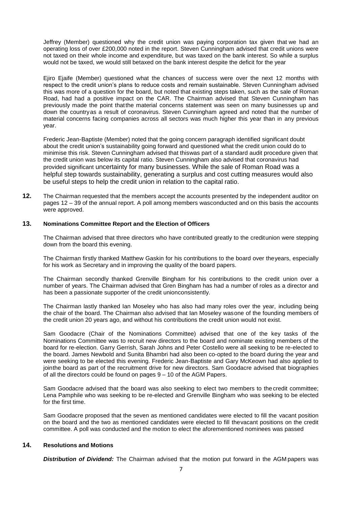Jeffrey (Member) questioned why the credit union was paying corporation tax given that we had an operating loss of over £200,000 noted in the report. Steven Cunningham advised that credit unions were not taxed on their whole income and expenditure, but was taxed on the bank interest. So while a surplus would not be taxed, we would still betaxed on the bank interest despite the deficit for the year

Ejiro Ejaife (Member) questioned what the chances of success were over the next 12 months with respect to the credit union's plans to reduce costs and remain sustainable. Steven Cunningham advised this was more of a question for the board, but noted that existing steps taken, such as the sale of Roman Road, had had a positive impact on the CAR. The Chairman advised that Steven Cunningham has previously made the point thatthe material concerns statement was seen on many businesses up and down the countryas a result of coronavirus. Steven Cunningham agreed and noted that the number of material concerns facing companies across all sectors was much higher this year than in any previous year.

Frederic Jean-Baptiste (Member) noted that the going concern paragraph identified significant doubt about the credit union's sustainability going forward and questioned what the credit union could do to minimise this risk. Steven Cunningham advised that thiswas part of a standard audit procedure given that the credit union was below its capital ratio. Steven Cunningham also advised that coronavirus had provided significant uncertainty for many businesses. While the sale of Roman Road was a helpful step towards sustainability, generating a surplus and cost cutting measures would also be useful steps to help the credit union in relation to the capital ratio.

**12.** The Chairman requested that the members accept the accounts presented by the independent auditor on pages 12 – 39 of the annual report. A poll among members wasconducted and on this basis the accounts were approved.

#### **13. Nominations Committee Report and the Election of Officers**

The Chairman advised that three directors who have contributed greatly to the creditunion were stepping down from the board this evening.

The Chairman firstly thanked Matthew Gaskin for his contributions to the board over theyears, especially for his work as Secretary and in improving the quality of the board papers.

The Chairman secondly thanked Grenville Bingham for his contributions to the credit union over a number of years. The Chairman advised that Gren Bingham has had a number of roles as a director and has been a passionate supporter of the credit unionconsistently.

The Chairman lastly thanked Ian Moseley who has also had many roles over the year, including being the chair of the board. The Chairman also advised that Ian Moseley wasone of the founding members of the credit union 20 years ago, and without his contributions the credit union would not exist.

Sam Goodacre (Chair of the Nominations Committee) advised that one of the key tasks of the Nominations Committee was to recruit new directors to the board and nominate existing members of the board for re-election. Garry Gerrish, Sarah Johns and Peter Costello were all seeking to be re-elected to the board. James Newbold and Sunita Bhambri had also been co-opted to the board during the year and were seeking to be elected this evening. Frederic Jean-Baptiste and Gary McKeown had also applied to jointhe board as part of the recruitment drive for new directors. Sam Goodacre advised that biographies of all the directors could be found on pages 9 – 10 of the AGM Papers.

Sam Goodacre advised that the board was also seeking to elect two members to the credit committee; Lena Pamphile who was seeking to be re-elected and Grenville Bingham who was seeking to be elected for the first time.

Sam Goodacre proposed that the seven as mentioned candidates were elected to fill the vacant position on the board and the two as mentioned candidates were elected to fill thevacant positions on the credit committee. A poll was conducted and the motion to elect the aforementioned nominees was passed

#### **14. Resolutions and Motions**

*Distribution of Dividend:* The Chairman advised that the motion put forward in the AGM papers was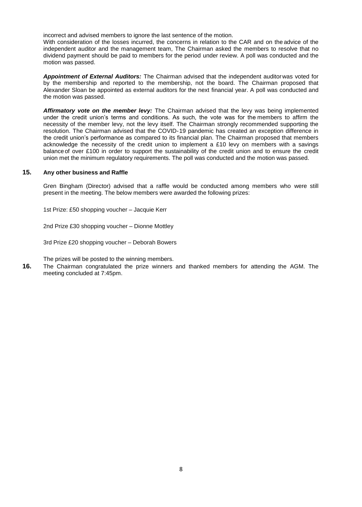incorrect and advised members to ignore the last sentence of the motion.

With consideration of the losses incurred, the concerns in relation to the CAR and on the advice of the independent auditor and the management team, The Chairman asked the members to resolve that no dividend payment should be paid to members for the period under review. A poll was conducted and the motion was passed.

*Appointment of External Auditors:* The Chairman advised that the independent auditorwas voted for by the membership and reported to the membership, not the board. The Chairman proposed that Alexander Sloan be appointed as external auditors for the next financial year. A poll was conducted and the motion was passed.

*Affirmatory vote on the member levy:* The Chairman advised that the levy was being implemented under the credit union's terms and conditions. As such, the vote was for the members to affirm the necessity of the member levy, not the levy itself. The Chairman strongly recommended supporting the resolution. The Chairman advised that the COVID-19 pandemic has created an exception difference in the credit union's performance as compared to its financial plan. The Chairman proposed that members acknowledge the necessity of the credit union to implement a £10 levy on members with a savings balance of over £100 in order to support the sustainability of the credit union and to ensure the credit union met the minimum regulatory requirements. The poll was conducted and the motion was passed.

#### **15. Any other business and Raffle**

Gren Bingham (Director) advised that a raffle would be conducted among members who were still present in the meeting. The below members were awarded the following prizes:

1st Prize: £50 shopping voucher – Jacquie Kerr

2nd Prize £30 shopping voucher – Dionne Mottley

3rd Prize £20 shopping voucher – Deborah Bowers

The prizes will be posted to the winning members.

**16.** The Chairman congratulated the prize winners and thanked members for attending the AGM. The meeting concluded at 7:45pm.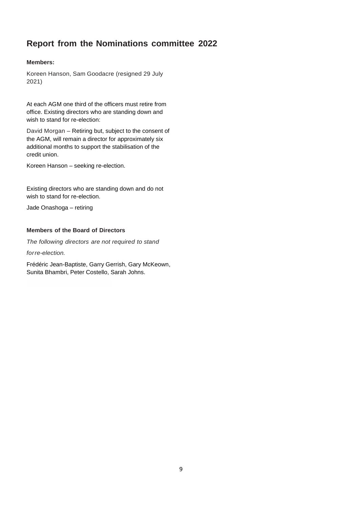# **Report from the Nominations committee 2022**

# **Members:**

Koreen Hanson, Sam Goodacre (resigned 29 July 2021)

At each AGM one third of the officers must retire from office. Existing directors who are standing down and wish to stand for re-election:

David Morgan – Retiring but, subject to the consent of the AGM, will remain a director for approximately six additional months to support the stabilisation of the credit union.

Koreen Hanson – seeking re-election.

Existing directors who are standing down and do not wish to stand for re-election.

Jade Onashoga – retiring

# **Members of the Board of Directors**

*The following directors are not required to stand*

*for re-election.*

Frédéric Jean-Baptiste, Garry Gerrish, Gary McKeown, Sunita Bhambri, Peter Costello, Sarah Johns.